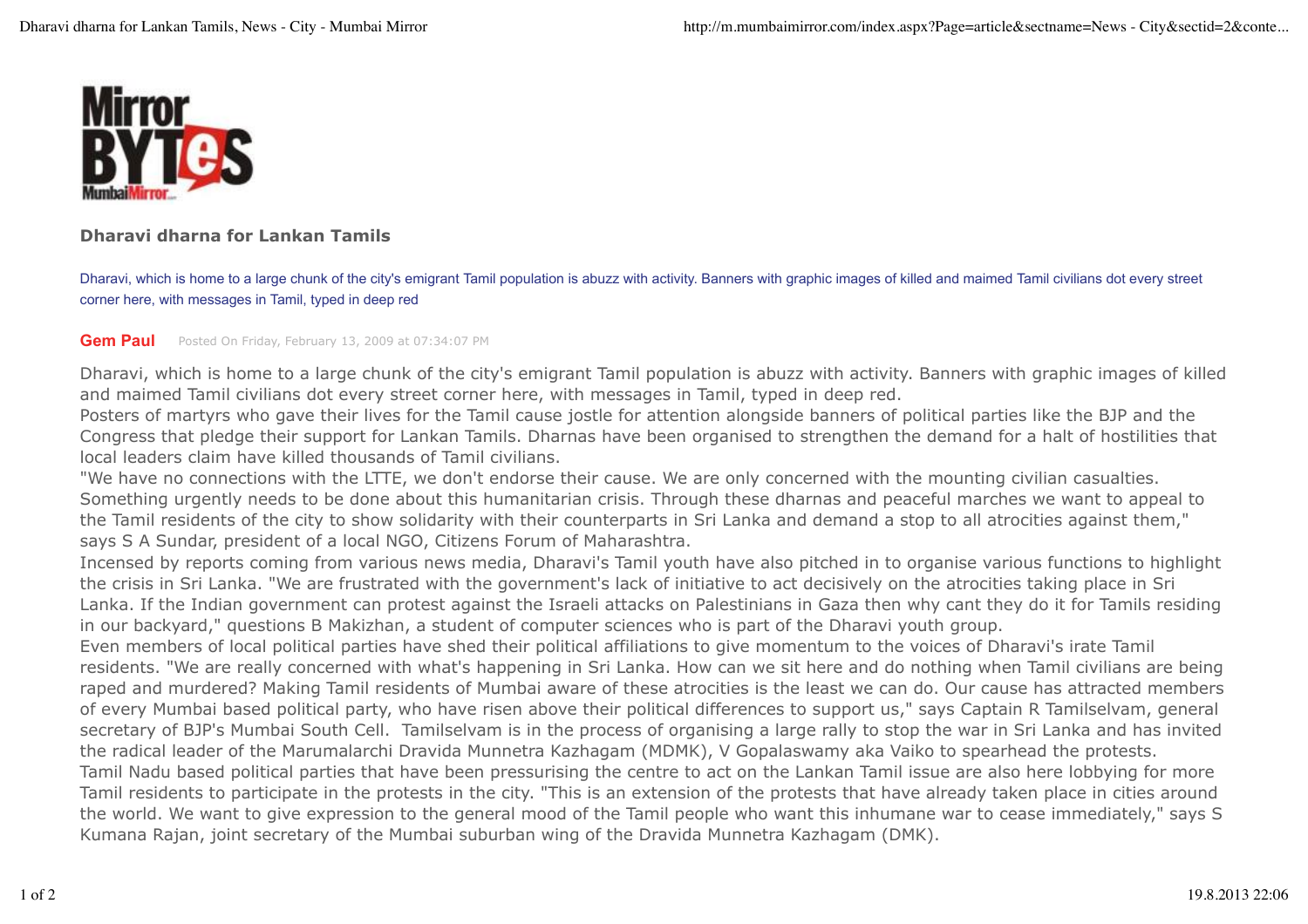

## **Dharavi dharna for Lankan Tamils**

Dharavi, which is home to a large chunk of the city's emigrant Tamil population is abuzz with activity. Banners with graphic images of killed and maimed Tamil civilians dot every street corner here, with messages in Tamil, typed in deep red

## **Gem Paul** Posted On Friday, February 13, 2009 at 07:34:07 PM

Dharavi, which is home to a large chunk of the city's emigrant Tamil population is abuzz with activity. Banners with graphic images of killed and maimed Tamil civilians dot every street corner here, with messages in Tamil, typed in deep red.

Posters of martyrs who gave their lives for the Tamil cause jostle for attention alongside banners of political parties like the BJP and the Congress that pledge their support for Lankan Tamils. Dharnas have been organised to strengthen the demand for a halt of hostilities that local leaders claim have killed thousands of Tamil civilians.

"We have no connections with the LTTE, we don't endorse their cause. We are only concerned with the mounting civilian casualties. Something urgently needs to be done about this humanitarian crisis. Through these dharnas and peaceful marches we want to appeal to the Tamil residents of the city to show solidarity with their counterparts in Sri Lanka and demand a stop to all atrocities against them," says S A Sundar, president of a local NGO, Citizens Forum of Maharashtra.

Incensed by reports coming from various news media, Dharavi's Tamil youth have also pitched in to organise various functions to highlight the crisis in Sri Lanka. "We are frustrated with the government's lack of initiative to act decisively on the atrocities taking place in Sri Lanka. If the Indian government can protest against the Israeli attacks on Palestinians in Gaza then why cant they do it for Tamils residing in our backyard," questions B Makizhan, a student of computer sciences who is part of the Dharavi youth group.

Even members of local political parties have shed their political affiliations to give momentum to the voices of Dharavi's irate Tamil residents. "We are really concerned with what's happening in Sri Lanka. How can we sit here and do nothing when Tamil civilians are being raped and murdered? Making Tamil residents of Mumbai aware of these atrocities is the least we can do. Our cause has attracted members of every Mumbai based political party, who have risen above their political differences to support us," says Captain R Tamilselvam, general secretary of BJP's Mumbai South Cell. Tamilselvam is in the process of organising a large rally to stop the war in Sri Lanka and has invited the radical leader of the Marumalarchi Dravida Munnetra Kazhagam (MDMK), V Gopalaswamy aka Vaiko to spearhead the protests.

Tamil Nadu based political parties that have been pressurising the centre to act on the Lankan Tamil issue are also here lobbying for more Tamil residents to participate in the protests in the city. "This is an extension of the protests that have already taken place in cities around the world. We want to give expression to the general mood of the Tamil people who want this inhumane war to cease immediately," says S Kumana Rajan, joint secretary of the Mumbai suburban wing of the Dravida Munnetra Kazhagam (DMK).